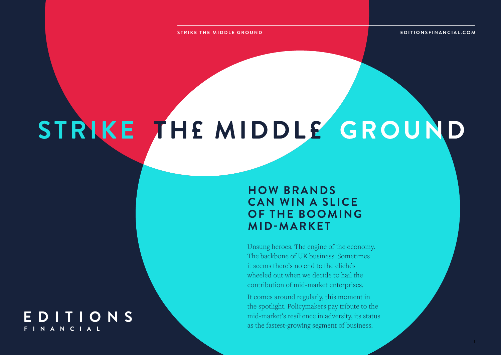# STRIKE THE MIDDLE GROUND

## **HOW BRANDS CAN WIN A SLICE OF THE BOOMING MID-MARKET**

Unsung heroes. The engine of the economy. The backbone of UK business. Sometimes it seems there's no end to the clichés wheeled out when we decide to hail the contribution of mid-market enterprises.

It comes around regularly, this moment in the spotlight. Policymakers pay tribute to the mid-market's resilience in adversity, its status as the fastest-growing segment of business.

## EDITIONS FINANCIAL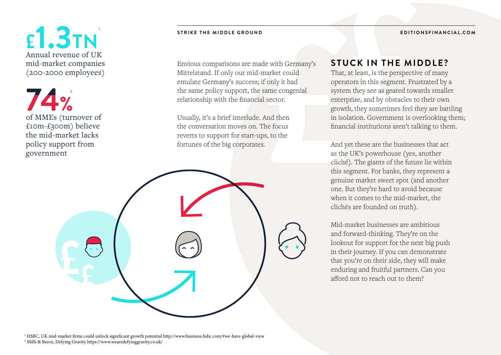**£1.3TN**<sup>1</sup> Annual revenue of UK mid-market companies (200-2000 employees)

 $74%$ of MMEs (turnover of £10m-£300m) believe the mid-market lacks policy support from government

#### **STRIKE THE MIDDLE GROUND [EDITIONSFINANCIAL.COM](http://www.editionsfinancial.com)**

Envious comparisons are made with Germany's Mittelstand. If only our mid-market could emulate Germany's success; if only it had the same policy support, the same congenial relationship with the financial sector.

Usually, it's a brief interlude. And then the conversation moves on. The focus reverts to support for start-ups, to the fortunes of the big corporates.



#### **STUCK IN THE MIDDLE?**

That, at least, is the perspective of many operators in this segment. Frustrated by a system they see as geared towards smaller enterprise, and by obstacles to their own growth, they sometimes feel they are battling in isolation. Government is overlooking them; financial institutions aren't talking to them.

And yet these are the businesses that act as the UK's powerhouse (yes, another cliché). The giants of the future lie within this segment. For banks, they represent a genuine market sweet spot (and another one. But they're hard to avoid because when it comes to the mid-market, the clichés are founded on truth).

Mid-market businesses are ambitious and forward-thinking. They're on the lookout for support for the next big push in their journey. If you can demonstrate that you're on their side, they will make enduring and fruitful partners. Can you afford not to reach out to them?

1 HSBC, UK mid-market firms could unlock significant growth potential http://www.business.hsbc.com/#we-have-global-view 2 Mills & Reeve, Defying Gravity https://www.wearedefyinggravity.co.uk/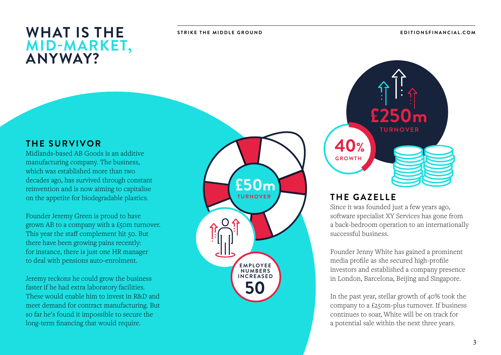## **WHAT IS THE MID-MARKET, ANYWAY?**

**STRIKE THE MIDDLE GROUND [EDITIONSFINANCIAL.COM](http://www.editionsfinancial.com)**

#### **THE SURVIVOR**

Midlands-based AB Goods is an additive manufacturing company. The business, which was established more than two decades ago, has survived through constant reinvention and is now aiming to capitalise on the appetite for biodegradable plastics.

Founder Jeremy Green is proud to have grown AB to a company with a £50m turnover. This year the staff complement hit 50. But there have been growing pains recently: for instance, there is just one HR manager to deal with pensions auto-enrolment.

Jeremy reckons he could grow the business faster if he had extra laboratory facilities. These would enable him to invest in R&D and meet demand for contract manufacturing. But so far he's found it impossible to secure the long-term financing that would require.

**£50m TURNOVER EMPLOYEE NUMBERS NCREASED 50**



### **THE GAZELLE**

Since it was founded just a few years ago, software specialist XY Services has gone from a back-bedroom operation to an internationally successful business.

Founder Jenny White has gained a prominent media profile as she secured high-profile investors and established a company presence in London, Barcelona, Beijing and Singapore.

In the past year, stellar growth of 40% took the company to a £250m-plus turnover. If business continues to soar, White will be on track for a potential sale within the next three years.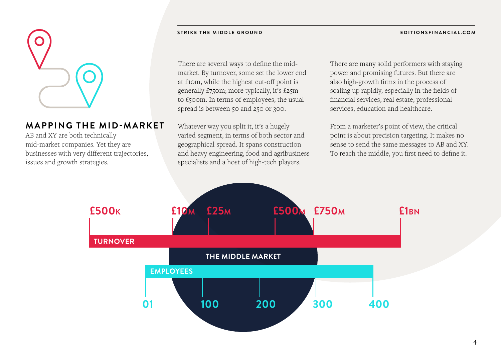#### **STRIKE THE MIDDLE GROUND [EDITIONSFINANCIAL.COM](http://www.editionsfinancial.com)**



#### **MAPPING THE MID-MARKET**

AB and XY are both technically mid-market companies. Yet they are businesses with very different trajectories, issues and growth strategies.

There are several ways to define the midmarket. By turnover, some set the lower end at £10m, while the highest cut-off point is generally £750m; more typically, it's £25m to £500m. In terms of employees, the usual spread is between 50 and 250 or 300.

Whatever way you split it, it's a hugely varied segment, in terms of both sector and geographical spread. It spans construction and heavy engineering, food and agribusiness specialists and a host of high-tech players.

There are many solid performers with staying power and promising futures. But there are also high-growth firms in the process of scaling up rapidly, especially in the fields of financial services, real estate, professional services, education and healthcare.

From a marketer's point of view, the critical point is about precision targeting. It makes no sense to send the same messages to AB and XY. To reach the middle, you first need to define it.

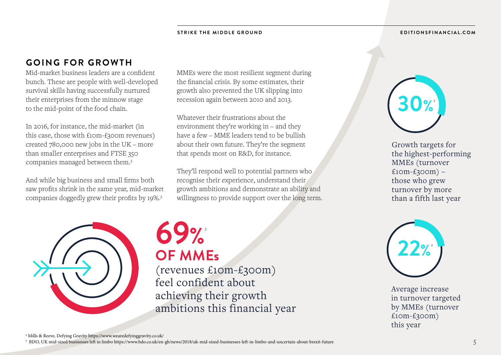#### **[EDITIONSFINANCIAL.COM](http://www.editionsfinancial.com)**

#### **GOING FOR GROWTH**

Mid-market business leaders are a confident bunch. These are people with well-developed survival skills having successfully nurtured their enterprises from the minnow stage to the mid-point of the food chain.

In 2016, for instance, the mid-market (in this case, those with £10m-£300m revenues) created 780,000 new jobs in the UK – more than smaller enterprises and FTSE 350 companies managed between them.3

And while big business and small firms both saw profits shrink in the same year, mid-market companies doggedly grew their profits by 19%.3

MMEs were the most resilient segment during the financial crisis. By some estimates, their growth also prevented the UK slipping into recession again between 2010 and 2013.

Whatever their frustrations about the environment they're working in – and they have a few – MME leaders tend to be bullish about their own future. They're the segment that spends most on R&D, for instance.

They'll respond well to potential partners who recognise their experience, understand their growth ambitions and demonstrate an ability and willingness to provide support over the long term.



# **OF MMEs 69%**<sup>3</sup>

(revenues £10m-£300m) feel confident about achieving their growth ambitions this financial year



Growth targets for the highest-performing MMEs (turnover  $£10m-E300m$ ) – those who grew turnover by more than a fifth last year



Average increase in turnover targeted by MMEs (turnover £10m-£300m) this year

2 Mills & Reeve, Defying Gravity https://www.wearedefyinggravity.co.uk/

 $^{\rm 3}$  BDO, UK mid-sized businesses left in limbo https://www.bdo.co.uk/en-gb/news/2018/uk-mid-sized-businesses-left-in-limbo-and-uncertain-about-brexit-future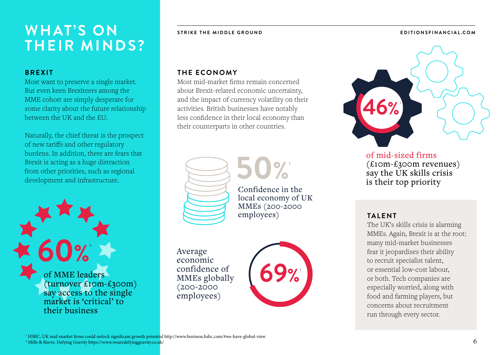# WHAT'S ON *STRIKE THE MIDDLE GROUND* **THEIR MINDS?**

#### **BREXIT**

Most want to preserve a single market. But even keen Brexiteers among the MME cohort are simply desperate for some clarity about the future relationship between the UK and the EU.

Naturally, the chief threat is the prospect of new tariffs and other regulatory burdens. In addition, there are fears that Brexit is acting as a huge distraction from other priorities, such as regional development and infrastructure.

**60%**<sup>2</sup> of MME leaders (turnover £10m-£300m) say access to the single market is 'critical' to their business

**STRIKE THE MIDDLE GROUND**

#### **THE ECONOMY**

Most mid-market firms remain concerned about Brexit-related economic uncertainty, and the impact of currency volatility on their activities. British businesses have notably less confidence in their local economy than their counterparts in other countries.



is their top priority Confidence in the local economy of UK MMEs (200-2000 employees)

**50%**<sup>1</sup>

Average economic confidence of MMEs globally (200-2000 employees)





of mid-sized firms (£10m-£300m revenues) say the UK skills crisis

#### **TALENT**

The UK's skills crisis is alarming MMEs. Again, Brexit is at the root: many mid-market businesses fear it jeopardises their ability to recruit specialist talent, or essential low-cost labour, or both. Tech companies are especially worried, along with food and farming players, but concerns about recruitment run through every sector.

1 HSBC, UK mid-market firms could unlock significant growth potential http://www.business.hsbc.com/#we-have-global-view 2 Mills & Reeve, Defying Gravity https://www.wearedefyinggravity.co.uk/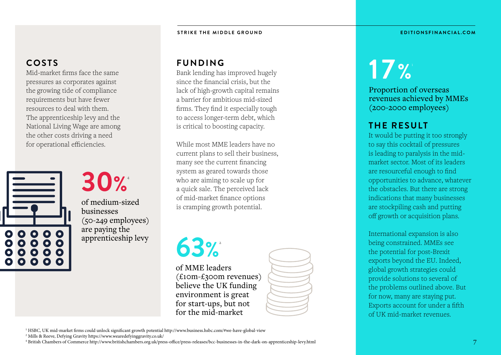#### **COSTS**

Mid-market firms face the same pressures as corporates against the growing tide of compliance requirements but have fewer resources to deal with them. The apprenticeship levy and the National Living Wage are among the other costs driving a need for operational efficiencies.



**30%**<sup>4</sup>

of medium-sized businesses (50-249 employees) are paying the

#### **STRIKE THE MIDDLE GROUND**

#### **FUNDING**

Bank lending has improved hugely since the financial crisis, but the lack of high-growth capital remains a barrier for ambitious mid-sized firms. They find it especially tough to access longer-term debt, which is critical to boosting capacity.

While most MME leaders have no current plans to sell their business, many see the current financing system as geared towards those who are aiming to scale up for a quick sale. The perceived lack of mid-market finance options is cramping growth potential.

apprenticeship levy **63%** 

of MME leaders (£10m-£300m revenues) believe the UK funding environment is great for start-ups, but not for the mid-market



**[EDITIONSFINANCIAL.COM](http://www.editionsfinancial.com)**

# **17%**<sup>1</sup>

Proportion of overseas revenues achieved by MMEs (200-2000 employees)

#### **THE RESULT**

It would be putting it too strongly to say this cocktail of pressures is leading to paralysis in the midmarket sector. Most of its leaders are resourceful enough to find opportunities to advance, whatever the obstacles. But there are strong indications that many businesses are stockpiling cash and putting off growth or acquisition plans.

International expansion is also being constrained. MMEs see the potential for post-Brexit exports beyond the EU. Indeed, global growth strategies could provide solutions to several of the problems outlined above. But for now, many are staying put. Exports account for under a fifth of UK mid-market revenues.

1 HSBC, UK mid-market firms could unlock significant growth potential http://www.business.hsbc.com/#we-have-global-view

2 Mills & Reeve, Defying Gravity https://www.wearedefyinggravity.co.uk/

4 British Chambers of Commerce http://www.britishchambers.org.uk/press-office/press-releases/bcc-businesses-in-the-dark-on-apprenticeship-levy.html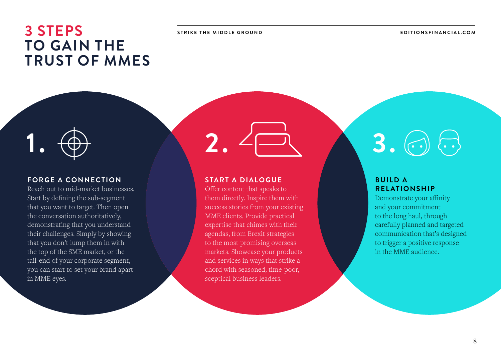#### **STRIKE THE MIDDLE GROUND [EDITIONSFINANCIAL.COM](http://www.editionsfinancial.com)**

## **3 STEPS TO GAIN THE TRUST OF MMES**

#### **FORGE A CONNECTION**

Reach out to mid-market businesses. Start by defining the sub-segment that you want to target. Then open the conversation authoritatively, demonstrating that you understand their challenges. Simply by showing that you don't lump them in with the top of the SME market, or the tail-end of your corporate segment, you can start to set your brand apart in MME eyes.

**1. 2. 3.**

#### **START A DIALOGUE**

Offer content that speaks to them directly. Inspire them with success stories from your existing MME clients. Provide practical expertise that chimes with their agendas, from Brexit strategies to the most promising overseas markets. Showcase your products and services in ways that strike a chord with seasoned, time-poor, sceptical business leaders.

#### **BUILD A RELATIONSHIP**

Demonstrate your affinity and your commitment to the long haul, through carefully planned and targeted communication that's designed to trigger a positive response in the MME audience.